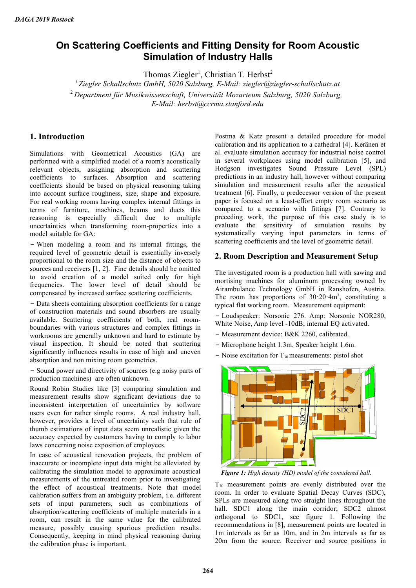# **On Scattering Coefficients and Fitting Density for Room Acoustic Simulation of Industry Halls**

Thomas Ziegler<sup>1</sup>, Christian T. Herbst<sup>2</sup>

*<sup>1</sup>Ziegler Schallschutz GmbH, 5020 Salzburg, E-Mail: ziegler@ziegler-schallschutz.at*

<sup>2</sup>*Department für Musikwissenschaft, Universität Mozarteum Salzburg, 5020 Salzburg,* 

*E-Mail: herbst@ccrma.stanford.edu*

# **1. Introduction**

Simulations with Geometrical Acoustics (GA) are performed with a simplified model of a room's acoustically relevant objects, assigning absorption and scattering coefficients to surfaces. Absorption and scattering coefficients should be based on physical reasoning taking into account surface roughness, size, shape and exposure. For real working rooms having complex internal fittings in terms of furniture, machines, beams and ducts this reasoning is especially difficult due to multiple uncertainties when transforming room-properties into a model suitable for GA:

− When modeling a room and its internal fittings, the required level of geometric detail is essentially inversely proportional to the room size and the distance of objects to sources and receivers [1, 2]. Fine details should be omitted to avoid creation of a model suited only for high frequencies. The lower level of detail should be compensated by increased surface scattering coefficients.

− Data sheets containing absorption coefficients for a range of construction materials and sound absorbers are usually available. Scattering coefficients of both, real roomboundaries with various structures and complex fittings in workrooms are generally unknown and hard to estimate by visual inspection. It should be noted that scattering significantly influences results in case of high and uneven absorption and non mixing room geometries.

− Sound power and directivity of sources (e.g noisy parts of production machines) are often unknown.

Round Robin Studies like [3] comparing simulation and measurement results show significant deviations due to inconsistent interpretation of uncertainties by software users even for rather simple rooms. A real industry hall, however, provides a level of uncertainty such that rule of thumb estimations of input data seem unrealistic given the accuracy expected by customers having to comply to labor laws concerning noise exposition of employees.

In case of acoustical renovation projects, the problem of inaccurate or incomplete input data might be alleviated by calibrating the simulation model to approximate acoustical measurements of the untreated room prior to investigating the effect of acoustical treatments. Note that model calibration suffers from an ambiguity problem, i.e. different sets of input parameters, such as combinations of absorption/scattering coefficients of multiple materials in a room, can result in the same value for the calibrated measure, possibly causing spurious prediction results. Consequently, keeping in mind physical reasoning during the calibration phase is important.

Postma & Katz present a detailed procedure for model calibration and its application to a cathedral [4]. Keränen et al. evaluate simulation accuracy for industrial noise control in several workplaces using model calibration [5], and Hodgson investigates Sound Pressure Level (SPL) predictions in an industry hall, however without comparing simulation and measurement results after the acoustical treatment [6]. Finally, a predecessor version of the present paper is focused on a least-effort empty room scenario as compared to a scenario with fittings [7]. Contrary to preceding work, the purpose of this case study is to evaluate the sensitivity of simulation results by systematically varying input parameters in terms of scattering coefficients and the level of geometric detail.

# **2. Room Description and Measurement Setup**

The investigated room is a production hall with sawing and mortising machines for aluminum processing owned by Airambulance Technology GmbH in Ranshofen, Austria. The room has proportions of  $30.20 \cdot 4m^3$ , constituting a typical flat working room. Measurement equipment:

− Loudspeaker: Norsonic 276. Amp: Norsonic NOR280, White Noise, Amp level -10dB; internal EQ activated.

- − Measurement device: B&K 2260, calibrated.
- − Microphone height 1.3m. Speaker height 1.6m.
- − Noise excitation for T30 measurements: pistol shot



*Figure 1: High density (HD) model of the considered hall.*

T30 measurement points are evenly distributed over the room. In order to evaluate Spatial Decay Curves (SDC), SPLs are measured along two straight lines throughout the hall. SDC1 along the main corridor; SDC2 almost orthogonal to SDC1, see figure 1. Following the recommendations in [8], measurement points are located in 1m intervals as far as 10m, and in 2m intervals as far as 20m from the source. Receiver and source positions in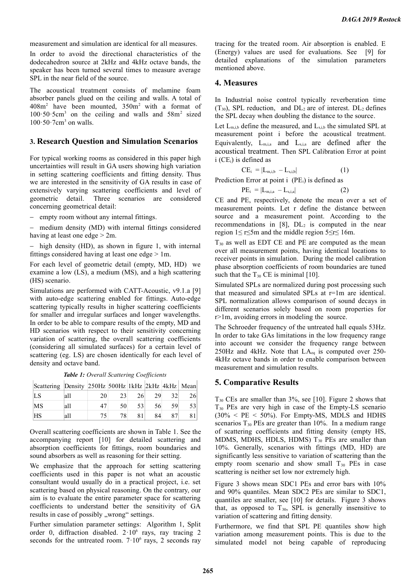measurement and simulation are identical for all measures.

In order to avoid the directional characteristics of the dodecahedron source at 2kHz and 4kHz octave bands, the speaker has been turned several times to measure average SPL in the near field of the source.

The acoustical treatment consists of melamine foam absorber panels glued on the ceiling and walls. A total of  $408m<sup>2</sup>$  have been mounted,  $350m<sup>2</sup>$  with a format of  $100.50.5cm<sup>3</sup>$  on the ceiling and walls and  $58m<sup>2</sup>$  sized  $100 \cdot 50 \cdot 7$ cm<sup>3</sup> on walls.

## **3. Research Question and Simulation Scenarios**

For typical working rooms as considered in this paper high uncertainties will result in GA users showing high variation in setting scattering coefficients and fitting density. Thus we are interested in the sensitivity of GA results in case of extensively varying scattering coefficients and level of geometric detail. Three scenarios are considered concerning geometrical detail:

empty room without any internal fittings.

 medium density (MD) with internal fittings considered having at least one edge > 2m.

 $-$  high density (HD), as shown in figure 1, with internal fittings considered having at least one edge > 1m.

For each level of geometric detail (empty, MD, HD) we examine a low (LS), a medium (MS), and a high scattering (HS) scenario.

Simulations are performed with CATT-Acoustic, v9.1.a [9] with auto-edge scattering enabled for fittings. Auto-edge scattering typically results in higher scattering coefficients for smaller and irregular surfaces and longer wavelengths. In order to be able to compare results of the empty, MD and HD scenarios with respect to their sensitivity concerning variation of scattering, the overall scattering coefficients (considering all simulated surfaces) for a certain level of scattering (eg. LS) are chosen identically for each level of density and octave band.

*Table 1: Overall Scattering Coefficients*

| Scattering Density 250Hz 500Hz 1kHz 2kHz 4kHz Mean |      |    |                 |    |    |    |     |
|----------------------------------------------------|------|----|-----------------|----|----|----|-----|
| LS                                                 | la11 | 20 | 23              | 26 | 29 | 32 | 261 |
| MS                                                 | la11 |    | 50              | 53 | 56 | 59 | 531 |
| <b>HS</b>                                          | la11 |    | 78 <sub>1</sub> | 81 | 84 | 87 |     |

Overall scattering coefficients are shown in Table 1. See the accompanying report [10] for detailed scattering and absorption coefficients for fittings, room boundaries and sound absorbers as well as reasoning for their setting.

We emphasize that the approach for setting scattering coefficients used in this paper is not what an acoustic consultant would usually do in a practical project, i.e. set scattering based on physical reasoning. On the contrary, our aim is to evaluate the entire parameter space for scattering coefficients to understand better the sensitivity of GA results in case of possibly "wrong" settings.

Further simulation parameter settings: Algorithm 1, Split order 0, diffraction disabled.  $2 \cdot 10^6$  rays, ray tracing 2 seconds for the untreated room.  $7 \cdot 10^6$  rays, 2 seconds ray

tracing for the treated room. Air absorption is enabled. E (Energy) values are used for evaluations. See [9] for detailed explanations of the simulation parameters mentioned above.

#### **4. Measures**

In Industrial noise control typically reverberation time  $(T_{30})$ , SPL reduction, and  $DL_2$  are of interest.  $DL_2$  defines the SPL decay when doubling the distance to the source.

Let  $L_{m,i,b}$  define the measured, and  $L_{s,i,b}$  the simulated SPL at measurement point i before the acoustical treatment. Equivalently,  $L_{m,i,a}$  and  $L_{s,i,a}$  are defined after the acoustical treatment. Then SPL Calibration Error at point  $i$  (CE<sub>i</sub>) is defined as

$$
CE_i = |L_{m,i,b} - L_{s,i,b}| \tag{1}
$$

Prediction Error at point  $i$  (PE<sub>i</sub>) is defined as

$$
PE_i = |L_{m,i,a} - L_{s,i,a}| \tag{2}
$$

CE and PE, respectively, denote the mean over a set of measurement points. Let r define the distance between source and a measurement point. According to the recommendations in  $[8]$ ,  $DL<sub>2</sub>$  is computed in the near region 1≤ r≤5m and the middle region 5≤r≤ 16m.

 $T_{30}$  as well as EDT CE and PE are computed as the mean over all measurement points, having identical locations to receiver points in simulation. During the model calibration phase absorption coefficients of room boundaries are tuned such that the  $T_{30}$  CE is minimal [10].

Simulated SPLs are normalized during post processing such that measured and simulated SPLs at r=1m are identical. SPL normalization allows comparison of sound decays in different scenarios solely based on room properties for r>1m, avoiding errors in modeling the source.

The Schroeder frequency of the untreated hall equals 53Hz. In order to take GAs limitations in the low frequency range into account we consider the frequency range between 250Hz and 4kHz. Note that  $LA_{eq}$  is computed over 250-4kHz octave bands in order to enable comparison between measurement and simulation results.

### **5. Comparative Results**

T30 CEs are smaller than 3%, see [10]. Figure 2 shows that T30 PEs are very high in case of the Empty-LS scenario  $(30\% < PE < 50\%)$ . For Empty-MS, MDLS and HDHS scenarios  $T_{30}$  PEs are greater than 10%. In a medium range of scattering coefficients and fitting density (empty HS, MDMS, MDHS, HDLS, HDMS)  $T_{30}$  PEs are smaller than 10%. Generally, scenarios with fittings (MD, HD) are significantly less sensitive to variation of scattering than the empty room scenario and show small  $T_{30}$  PEs in case scattering is neither set low nor extremely high.

Figure 3 shows mean SDC1 PEs and error bars with 10% and 90% quantiles. Mean SDC2 PEs are similar to SDC1, quantiles are smaller, see [10] for details. Figure 3 shows that, as opposed to  $T_{30}$ , SPL is generally insensitive to variation of scattering and fitting density.

Furthermore, we find that SPL PE quantiles show high variation among measurement points. This is due to the simulated model not being capable of reproducing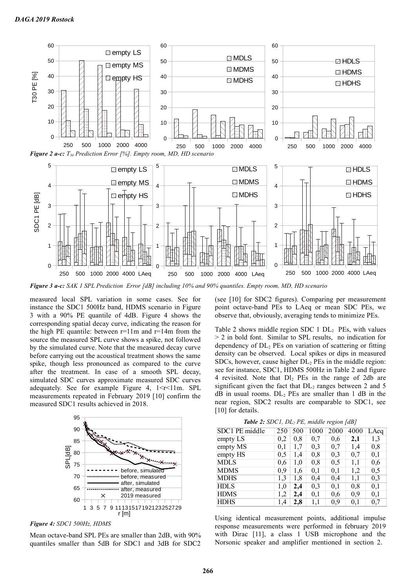

*Figure 3 a-c: SAK 1 SPL Prediction Error [dB] including 10% and 90% quantiles. Empty room, MD, HD scenario*

measured local SPL variation in some cases. See for instance the SDC1 500Hz band, HDMS scenario in Figure 3 with a 90% PE quantile of 4dB. Figure 4 shows the corresponding spatial decay curve, indicating the reason for the high PE quantile: between  $r=11m$  and  $r=14m$  from the source the measured SPL curve shows a spike, not followed by the simulated curve. Note that the measured decay curve before carrying out the acoustical treatment shows the same spike, though less pronounced as compared to the curve after the treatment. In case of a smooth SPL decay, simulated SDC curves approximate measured SDC curves adequately. See for example Figure 4,  $1 \le r \le 11$ m. SPL measurements repeated in February 2019 [10] confirm the measured SDC1 results achieved in 2018.



*Figure 4: SDC1 500Hz, HDMS*

Mean octave-band SPL PEs are smaller than 2dB, with 90% quantiles smaller than 5dB for SDC1 and 3dB for SDC2

(see [10] for SDC2 figures). Comparing per measurement point octave-band PEs to LAeq or mean SDC PEs, we observe that, obviously, averaging tends to minimize PEs.

Table 2 shows middle region SDC  $1$  DL<sub>2</sub> PEs, with values > 2 in bold font. Similar to SPL results, no indication for dependency of DL2 PEs on variation of scattering or fitting density can be observed. Local spikes or dips in measured SDCs, however, cause higher DL2 PEs in the middle region: see for instance, SDC1, HDMS 500Hz in Table 2 and figure 4 revisited. Note that  $DI<sub>2</sub>$  PEs in the range of 2db are significant given the fact that  $DL<sub>2</sub>$  ranges between 2 and 5  $dB$  in usual rooms.  $DL<sub>2</sub>$  PEs are smaller than 1 dB in the near region, SDC2 results are comparable to SDC1, see [10] for details.

*Table 2: SDC1, DL2 PE, middle region [dB]*

| SDC1 PE middle               | 250 | 500 | 1000 | 2000 | 4000 | LAeq     |
|------------------------------|-----|-----|------|------|------|----------|
| empty LS                     | 0,2 | 0,8 | 0,7  | 0.6  | 2,1  | 1,3      |
| empty $\overline{\text{MS}}$ | 0,1 | 1,7 | 0,3  | 0,7  | 1,4  | 0,8      |
| empty $\overline{HS}$        | 0,5 | 1,4 | 0,8  | 0,3  | 0,7  | 0,1      |
| <b>MDLS</b>                  | 0.6 | 1.0 | 0,8  | 0,5  | 1,1  | 0,6      |
| <b>MDMS</b>                  | 0.9 | 1,6 | 0,1  | 0,1  | 1,2  | 0,5      |
| <b>MDHS</b>                  | 1,3 | 1,8 | 0,4  | 0,4  | 1,1  | 0,3      |
| <b>HDLS</b>                  | 1,0 | 2,4 | 0,3  | 0,1  | 0,8  | 0,1      |
| <b>HDMS</b>                  | 1,2 | 2,4 | 0,1  | 0.6  | 0,9  | 0,1      |
| <b>HDHS</b>                  | 1,4 | 2,8 | 1,1  | 0.9  | 0,1  | $_{0,7}$ |

Using identical measurement points, additional impulse response measurements were performed in february 2019 with Dirac [11], a class 1 USB microphone and the Norsonic speaker and amplifier mentioned in section 2.